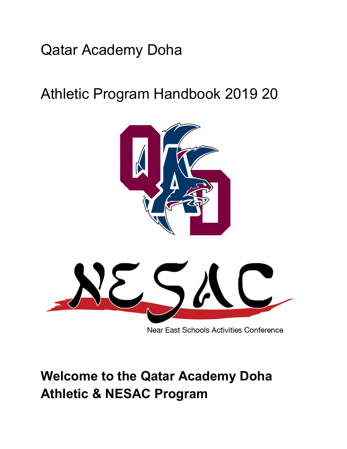# Qatar Academy Doha

# Athletic Program Handbook 2019 20



Near East Schools Activities Conference

# **Welcome to the Qatar Academy Doha Athletic & NESAC Program**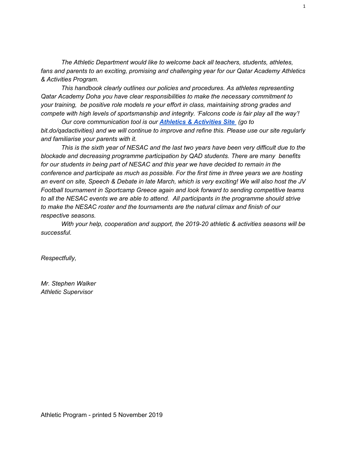*The Athletic Department would like to welcome back all teachers, students, athletes, fans and parents to an exciting, promising and challenging year for our Qatar Academy Athletics & Activities Program.*

*This handbook clearly outlines our policies and procedures. As athletes representing Qatar Academy Doha you have clear responsibilities to make the necessary commitment to your training, be positive role models re your effort in class, maintaining strong grades and compete with high levels of sportsmanship and integrity. 'Falcons code is fair play all the way'!*

*Our core communication tool is our Athletics & [Activities](https://sites.google.com/s/0B_Zj5thIveTXV3ZJTlZDTkFPSUk/p/0B_Zj5thIveTXTUF4YThzSk1MOUE/edit?authuser=1) Sit[e](https://sites.google.com/s/0B_Zj5thIveTXV3ZJTlZDTkFPSUk/p/0B_Zj5thIveTXTUF4YThzSk1MOUE/edit?authuser=1) (go to bit.do/qadactivities) and we will continue to improve and refine this. Please use our site regularly and familiarise your parents with it.*

*This is the sixth year of NESAC and the last two years have been very difficult due to the blockade and decreasing programme participation by QAD students. There are many benefits for our students in being part of NESAC and this year we have decided to remain in the conference and participate as much as possible. For the first time in three years we are hosting* an event on site, Speech & Debate in late March, which is very exciting! We will also host the JV *Football tournament in Sportcamp Greece again and look forward to sending competitive teams to all the NESAC events we are able to attend. All participants in the programme should strive to make the NESAC roster and the tournaments are the natural climax and finish of our respective seasons.*

*With your help, cooperation and support, the 2019-20 athletic & activities seasons will be successful.*

*Respectfully,*

*Mr. Stephen Walker Athletic Supervisor*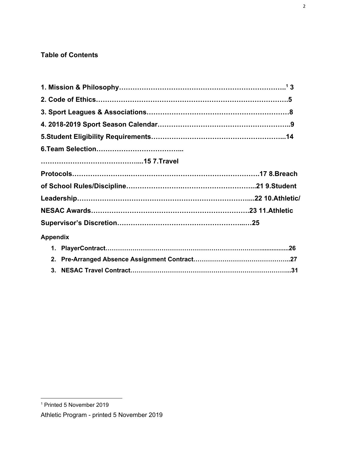#### **Table of Contents**

| <b>Appendix</b> |  |
|-----------------|--|
|                 |  |
|                 |  |
|                 |  |

<sup>1</sup> Printed 5 November 2019

Athletic Program - printed 5 November 2019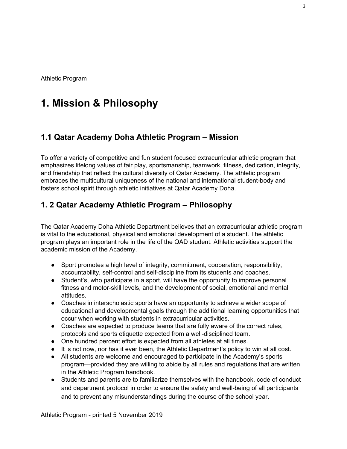Athletic Program

## **1. Mission & Philosophy**

#### **1.1 Qatar Academy Doha Athletic Program – Mission**

To offer a variety of competitive and fun student focused extracurricular athletic program that emphasizes lifelong values of fair play, sportsmanship, teamwork, fitness, dedication, integrity, and friendship that reflect the cultural diversity of Qatar Academy. The athletic program embraces the multicultural uniqueness of the national and international student-body and fosters school spirit through athletic initiatives at Qatar Academy Doha.

#### **1. 2 Qatar Academy Athletic Program – Philosophy**

The Qatar Academy Doha Athletic Department believes that an extracurricular athletic program is vital to the educational, physical and emotional development of a student. The athletic program plays an important role in the life of the QAD student. Athletic activities support the academic mission of the Academy.

- Sport promotes a high level of integrity, commitment, cooperation, responsibility, accountability, self-control and self-discipline from its students and coaches.
- Student's, who participate in a sport, will have the opportunity to improve personal fitness and motor-skill levels, and the development of social, emotional and mental attitudes.
- Coaches in interscholastic sports have an opportunity to achieve a wider scope of educational and developmental goals through the additional learning opportunities that occur when working with students in extracurricular activities.
- Coaches are expected to produce teams that are fully aware of the correct rules, protocols and sports etiquette expected from a well-disciplined team.
- One hundred percent effort is expected from all athletes at all times.
- It is not now, nor has it ever been, the Athletic Department's policy to win at all cost.
- All students are welcome and encouraged to participate in the Academy's sports program—provided they are willing to abide by all rules and regulations that are written in the Athletic Program handbook.
- Students and parents are to familiarize themselves with the handbook, code of conduct and department protocol in order to ensure the safety and well-being of all participants and to prevent any misunderstandings during the course of the school year.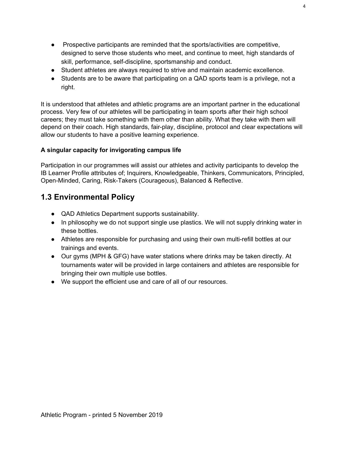- Prospective participants are reminded that the sports/activities are competitive, designed to serve those students who meet, and continue to meet, high standards of skill, performance, self-discipline, sportsmanship and conduct.
- Student athletes are always required to strive and maintain academic excellence.
- Students are to be aware that participating on a QAD sports team is a privilege, not a right.

It is understood that athletes and athletic programs are an important partner in the educational process. Very few of our athletes will be participating in team sports after their high school careers; they must take something with them other than ability. What they take with them will depend on their coach. High standards, fair-play, discipline, protocol and clear expectations will allow our students to have a positive learning experience.

#### **A singular capacity for invigorating campus life**

Participation in our programmes will assist our athletes and activity participants to develop the IB Learner Profile attributes of; Inquirers, Knowledgeable, Thinkers, Communicators, Principled, Open-Minded, Caring, Risk-Takers (Courageous), Balanced & Reflective.

#### **1.3 Environmental Policy**

- QAD Athletics Department supports sustainability.
- In philosophy we do not support single use plastics. We will not supply drinking water in these bottles.
- Athletes are responsible for purchasing and using their own multi-refill bottles at our trainings and events.
- Our gyms (MPH & GFG) have water stations where drinks may be taken directly. At tournaments water will be provided in large containers and athletes are responsible for bringing their own multiple use bottles.
- We support the efficient use and care of all of our resources.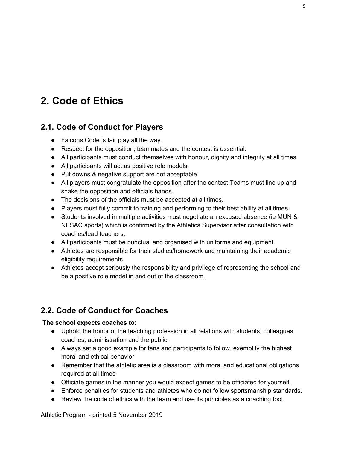## **2. Code of Ethics**

#### **2.1. Code of Conduct for Players**

- Falcons Code is fair play all the way.
- Respect for the opposition, teammates and the contest is essential.
- All participants must conduct themselves with honour, dignity and integrity at all times.
- All participants will act as positive role models.
- Put downs & negative support are not acceptable.
- All players must congratulate the opposition after the contest. Teams must line up and shake the opposition and officials hands.
- The decisions of the officials must be accepted at all times.
- Players must fully commit to training and performing to their best ability at all times.
- Students involved in multiple activities must negotiate an excused absence (ie MUN & NESAC sports) which is confirmed by the Athletics Supervisor after consultation with coaches/lead teachers.
- All participants must be punctual and organised with uniforms and equipment.
- Athletes are responsible for their studies/homework and maintaining their academic eligibility requirements.
- Athletes accept seriously the responsibility and privilege of representing the school and be a positive role model in and out of the classroom.

### **2.2. Code of Conduct for Coaches**

#### **The school expects coaches to:**

- Uphold the honor of the teaching profession in all relations with students, colleagues, coaches, administration and the public.
- Always set a good example for fans and participants to follow, exemplify the highest moral and ethical behavior
- Remember that the athletic area is a classroom with moral and educational obligations required at all times
- Officiate games in the manner you would expect games to be officiated for yourself.
- Enforce penalties for students and athletes who do not follow sportsmanship standards.
- Review the code of ethics with the team and use its principles as a coaching tool.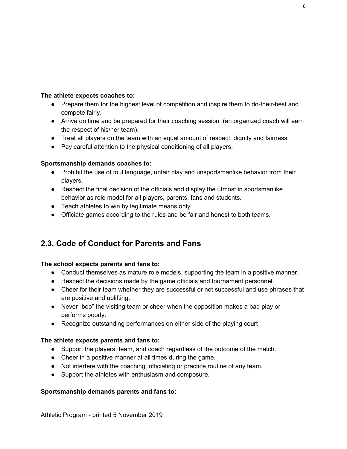#### **The athlete expects coaches to:**

- Prepare them for the highest level of competition and inspire them to do-their-best and compete fairly.
- Arrive on time and be prepared for their coaching session (an organized coach will earn the respect of his/her team).
- Treat all players on the team with an equal amount of respect, dignity and fairness.
- Pay careful attention to the physical conditioning of all players.

#### **Sportsmanship demands coaches to:**

- Prohibit the use of foul language, unfair play and unsportsmanlike behavior from their players.
- Respect the final decision of the officials and display the utmost in sportsmanlike behavior as role model for all players, parents, fans and students.
- Teach athletes to win by legitimate means only.
- Officiate games according to the rules and be fair and honest to both teams.

#### **2.3. Code of Conduct for Parents and Fans**

#### **The school expects parents and fans to:**

- Conduct themselves as mature role models, supporting the team in a positive manner.
- Respect the decisions made by the game officials and tournament personnel.
- Cheer for their team whether they are successful or not successful and use phrases that are positive and uplifting.
- Never "boo" the visiting team or cheer when the opposition makes a bad play or performs poorly.
- Recognize outstanding performances on either side of the playing court

#### **The athlete expects parents and fans to:**

- Support the players, team, and coach regardless of the outcome of the match.
- Cheer in a positive manner at all times during the game.
- Not interfere with the coaching, officiating or practice routine of any team.
- Support the athletes with enthusiasm and composure.

#### **Sportsmanship demands parents and fans to:**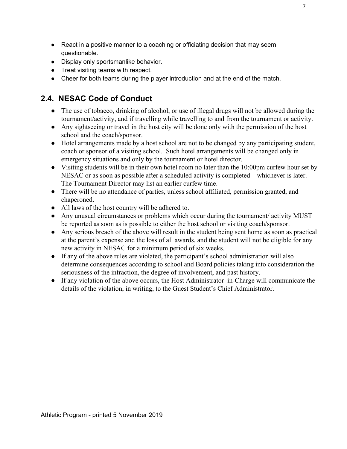- React in a positive manner to a coaching or officiating decision that may seem questionable.
- Display only sportsmanlike behavior.
- Treat visiting teams with respect.
- Cheer for both teams during the player introduction and at the end of the match.

#### **2.4. NESAC Code of Conduct**

- The use of tobacco, drinking of alcohol, or use of illegal drugs will not be allowed during the tournament/activity, and if travelling while travelling to and from the tournament or activity.
- Any sightseeing or travel in the host city will be done only with the permission of the host school and the coach/sponsor.
- Hotel arrangements made by a host school are not to be changed by any participating student, coach or sponsor of a visiting school. Such hotel arrangements will be changed only in emergency situations and only by the tournament or hotel director.
- Visiting students will be in their own hotel room no later than the 10:00pm curfew hour set by NESAC or as soon as possible after a scheduled activity is completed – whichever is later. The Tournament Director may list an earlier curfew time.
- There will be no attendance of parties, unless school affiliated, permission granted, and chaperoned.
- All laws of the host country will be adhered to.
- Any unusual circumstances or problems which occur during the tournament/ activity MUST be reported as soon as is possible to either the host school or visiting coach/sponsor.
- Any serious breach of the above will result in the student being sent home as soon as practical at the parent's expense and the loss of all awards, and the student will not be eligible for any new activity in NESAC for a minimum period of six weeks.
- If any of the above rules are violated, the participant's school administration will also determine consequences according to school and Board policies taking into consideration the seriousness of the infraction, the degree of involvement, and past history.
- If any violation of the above occurs, the Host Administrator–in-Charge will communicate the details of the violation, in writing, to the Guest Student's Chief Administrator.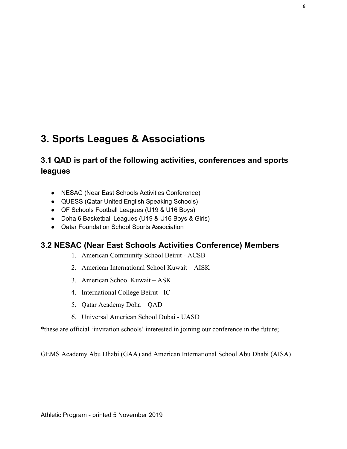## **3. Sports Leagues & Associations**

### **3.1 QAD is part of the following activities, conferences and sports leagues**

- NESAC (Near East Schools Activities Conference)
- QUESS (Qatar United English Speaking Schools)
- QF Schools Football Leagues (U19 & U16 Boys)
- Doha 6 Basketball Leagues (U19 & U16 Boys & Girls)
- Qatar Foundation School Sports Association

#### **3.2 NESAC (Near East Schools Activities Conference) Members**

- 1. American Community School Beirut ACSB
- 2. American International School Kuwait AISK
- 3. American School Kuwait ASK
- 4. International College Beirut IC
- 5. Qatar Academy Doha QAD
- 6. Universal American School Dubai UASD

\*these are official 'invitation schools' interested in joining our conference in the future;

GEMS Academy Abu Dhabi (GAA) and American International School Abu Dhabi (AISA)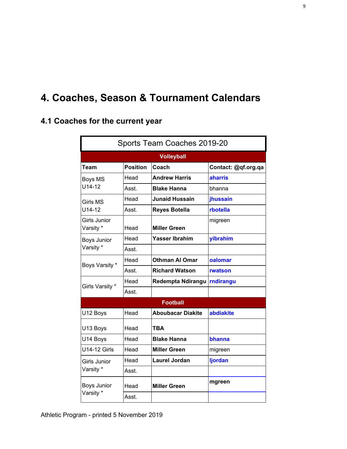## **4. Coaches, Season & Tournament Calendars**

## **4.1 Coaches for the current year**

| Sports Team Coaches 2019-20 |                 |                             |                     |  |
|-----------------------------|-----------------|-----------------------------|---------------------|--|
|                             |                 | <b>Volleyball</b>           |                     |  |
| Team                        | <b>Position</b> | Coach                       | Contact: @qf.org.qa |  |
| Boys MS                     | Head            | <b>Andrew Harris</b>        | aharris             |  |
| $U14-12$                    | Asst.           | <b>Blake Hanna</b>          | bhanna              |  |
| <b>Girls MS</b>             | Head            | <b>Junaid Hussain</b>       | jhussain            |  |
| $U14-12$                    | Asst.           | <b>Reyes Botella</b>        | rbotella            |  |
| Girls Junior<br>Varsity *   | Head            | <b>Miller Green</b>         | migreen             |  |
| Boys Junior                 | Head            | <b>Yasser Ibrahim</b>       | yibrahim            |  |
| Varsity *                   | Asst.           |                             |                     |  |
| Boys Varsity *              | Head            | <b>Othman AI Omar</b>       | oalomar             |  |
|                             | Asst.           | <b>Richard Watson</b>       | rwatson             |  |
| Girls Varsity *             | Head            | Redempta Ndirangu rndirangu |                     |  |
|                             | Asst.           |                             |                     |  |
|                             |                 | <b>Football</b>             |                     |  |
| U12 Boys                    | Head            | <b>Aboubacar Diakite</b>    | abdiakite           |  |
| U13 Boys                    | Head            | TBA                         |                     |  |
| U14 Boys                    | Head            | <b>Blake Hanna</b>          | bhanna              |  |
| <b>U14-12 Girls</b>         | Head            | <b>Miller Green</b>         | migreen             |  |
| Girls Junior                | Head            | <b>Laurel Jordan</b>        | <b>ljordan</b>      |  |
| Varsity *                   | Asst.           |                             |                     |  |
| <b>Boys Junior</b>          | Head            | <b>Miller Green</b>         | mgreen              |  |
| Varsity *                   | Asst.           |                             |                     |  |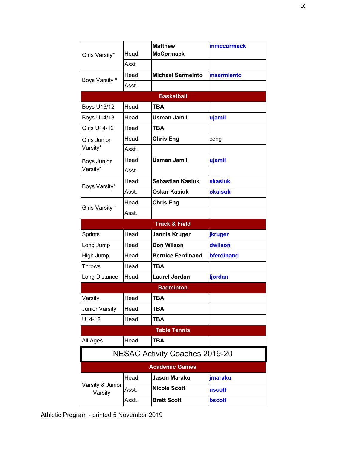| Girls Varsity*                        | Head  | <b>Matthew</b><br><b>McCormack</b> | mmccormack     |  |  |
|---------------------------------------|-------|------------------------------------|----------------|--|--|
|                                       | Asst. |                                    |                |  |  |
|                                       | Head  | <b>Michael Sarmeinto</b>           | msarmiento     |  |  |
| Boys Varsity *                        | Asst. |                                    |                |  |  |
|                                       |       | <b>Basketball</b>                  |                |  |  |
| <b>Boys U13/12</b>                    | Head  | <b>TBA</b>                         |                |  |  |
| <b>Boys U14/13</b>                    | Head  | <b>Usman Jamil</b>                 | ujamil         |  |  |
| <b>Girls U14-12</b>                   | Head  | <b>TBA</b>                         |                |  |  |
| Girls Junior                          | Head  | <b>Chris Eng</b>                   | ceng           |  |  |
| Varsity*                              | Asst. |                                    |                |  |  |
| Boys Junior                           | Head  | <b>Usman Jamil</b>                 | ujamil         |  |  |
| Varsity*                              | Asst. |                                    |                |  |  |
| Boys Varsity*                         | Head  | <b>Sebastian Kasiuk</b>            | <b>skasiuk</b> |  |  |
|                                       | Asst. | <b>Oskar Kasiuk</b>                | <b>okaisuk</b> |  |  |
| Girls Varsity *                       | Head  | <b>Chris Eng</b>                   |                |  |  |
|                                       | Asst. |                                    |                |  |  |
|                                       |       | <b>Track &amp; Field</b>           |                |  |  |
| Sprints                               | Head  | Jannie Kruger                      | jkruger        |  |  |
| Long Jump                             | Head  | <b>Don Wilson</b>                  | dwilson        |  |  |
| High Jump                             | Head  | <b>Bernice Ferdinand</b>           | bferdinand     |  |  |
| <b>Throws</b>                         | Head  | TBA                                |                |  |  |
| Long Distance                         | Head  | <b>Laurel Jordan</b>               | ljordan        |  |  |
|                                       |       | <b>Badminton</b>                   |                |  |  |
| Varsity                               | Head  | TBA                                |                |  |  |
| Junior Varsity                        | Head  | <b>TBA</b>                         |                |  |  |
| U14-12                                | Head  | <b>TBA</b>                         |                |  |  |
|                                       |       | <b>Table Tennis</b>                |                |  |  |
| All Ages                              | Head  | TBA                                |                |  |  |
| <b>NESAC Activity Coaches 2019-20</b> |       |                                    |                |  |  |
|                                       |       | <b>Academic Games</b>              |                |  |  |
|                                       | Head  | Jason Maraku                       | jmaraku        |  |  |
| Varsity & Junior<br>Varsity           | Asst. | <b>Nicole Scott</b>                | <b>nscott</b>  |  |  |
|                                       | Asst. | <b>Brett Scott</b>                 | bscott         |  |  |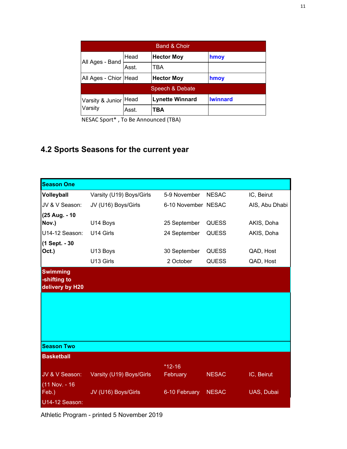| <b>Band &amp; Choir</b> |       |                        |                 |  |
|-------------------------|-------|------------------------|-----------------|--|
|                         | Head  | <b>Hector Moy</b>      | hmoy            |  |
| All Ages - Band         | Asst. | TBA                    |                 |  |
| All Ages - Chior Head   |       | <b>Hector Moy</b>      | hmoy            |  |
|                         |       | Speech & Debate        |                 |  |
| Varsity & Junior        | Head  | <b>Lynette Winnard</b> | <b>Iwinnard</b> |  |
| Varsity                 | Asst. | ТВА                    |                 |  |

NESAC Sport\* , To Be Announced (TBA)

## **4.2 Sports Seasons for the current year**

| <b>Season One</b>                                  |                          |                     |              |                |
|----------------------------------------------------|--------------------------|---------------------|--------------|----------------|
| Volleyball                                         | Varsity (U19) Boys/Girls | 5-9 November        | <b>NESAC</b> | IC, Beirut     |
| JV & V Season:                                     | JV (U16) Boys/Girls      | 6-10 November NESAC |              | AIS, Abu Dhabi |
| (25 Aug. - 10<br>Nov.)                             | U14 Boys                 | 25 September        | <b>QUESS</b> | AKIS, Doha     |
| U14-12 Season:                                     | U14 Girls                | 24 September        | <b>QUESS</b> | AKIS, Doha     |
|                                                    |                          |                     |              |                |
| (1 Sept. - 30<br>Oct.)                             | U13 Boys                 | 30 September        | <b>QUESS</b> | QAD, Host      |
|                                                    | U13 Girls                | 2 October           | <b>QUESS</b> | QAD, Host      |
| <b>Swimming</b><br>-shifting to<br>delivery by H20 |                          |                     |              |                |
|                                                    |                          |                     |              |                |
|                                                    |                          |                     |              |                |
| <b>Season Two</b>                                  |                          |                     |              |                |
| <b>Basketball</b>                                  |                          |                     |              |                |
|                                                    |                          | $*12-16$            |              |                |
| JV & V Season:                                     | Varsity (U19) Boys/Girls | February            | <b>NESAC</b> | IC, Beirut     |
| (11 Nov. - 16<br>Feb.)                             | JV (U16) Boys/Girls      | 6-10 February       | <b>NESAC</b> | UAS, Dubai     |
| U14-12 Season:                                     |                          |                     |              |                |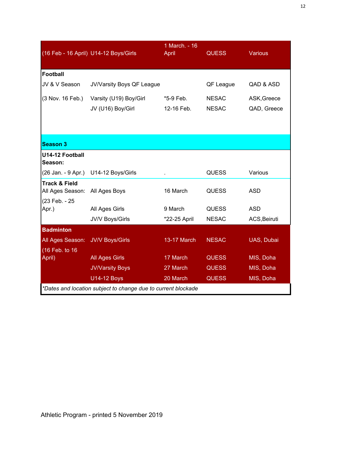|                                              | (16 Feb - 16 April) U14-12 Boys/Girls                                               | 1 March. - 16<br><b>April</b> | <b>QUESS</b>                 | Various      |
|----------------------------------------------|-------------------------------------------------------------------------------------|-------------------------------|------------------------------|--------------|
| <b>Football</b>                              |                                                                                     |                               |                              |              |
| JV & V Season                                | JV/Varsity Boys QF League                                                           |                               | QF League                    | QAD & ASD    |
| (3 Nov. 16 Feb.)                             | Varsity (U19) Boy/Girl                                                              | *5-9 Feb.                     | <b>NESAC</b>                 | ASK, Greece  |
|                                              | JV (U16) Boy/Girl                                                                   | 12-16 Feb.                    | <b>NESAC</b>                 | QAD, Greece  |
|                                              |                                                                                     |                               |                              |              |
| <b>Season 3</b>                              |                                                                                     |                               |                              |              |
| U14-12 Football<br>Season:                   |                                                                                     |                               |                              |              |
| (26 Jan. - 9 Apr.)                           | U14-12 Boys/Girls                                                                   |                               | <b>QUESS</b>                 | Various      |
| <b>Track &amp; Field</b><br>All Ages Season: | All Ages Boys                                                                       | 16 March                      | <b>QUESS</b>                 | <b>ASD</b>   |
| (23 Feb. - 25                                | All Ages Girls                                                                      | 9 March                       | <b>QUESS</b>                 | <b>ASD</b>   |
| Apr.)                                        | JV/V Boys/Girls                                                                     | *22-25 April                  | <b>NESAC</b>                 | ACS, Beiruti |
| <b>Badminton</b>                             |                                                                                     |                               |                              |              |
| All Ages Season:                             | <b>JV/V Boys/Girls</b>                                                              | 13-17 March                   | <b>NESAC</b>                 | UAS, Dubai   |
| (16 Feb. to 16                               |                                                                                     |                               |                              |              |
| April)                                       | <b>All Ages Girls</b>                                                               | 17 March                      | <b>QUESS</b>                 | MIS, Doha    |
|                                              | <b>JV/Varsity Boys</b>                                                              | 27 March<br>20 March          | <b>QUESS</b><br><b>QUESS</b> | MIS, Doha    |
|                                              | <b>U14-12 Boys</b><br>*Dates and location subject to change due to current blockade |                               |                              | MIS, Doha    |
|                                              |                                                                                     |                               |                              |              |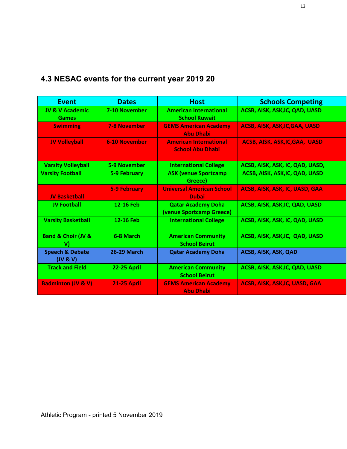## **4.3 NESAC events for the current year 2019 20**

| <b>Event</b>                               | <b>Dates</b>        | <b>Host</b>                                              | <b>Schools Competing</b>              |
|--------------------------------------------|---------------------|----------------------------------------------------------|---------------------------------------|
| <b>JV &amp; V Academic</b><br><b>Games</b> | 7-10 November       | <b>American International</b><br><b>School Kuwait</b>    | ACSB, AISK, ASK, IC, QAD, UASD        |
| <b>Swimming</b>                            | <b>7-8 November</b> | <b>GEMS American Academy</b><br><b>Abu Dhabi</b>         | <b>ACSB, AISK, ASK, IC, GAA, UASD</b> |
| <b>JV Volleyball</b>                       | 6-10 November       | <b>American International</b><br><b>School Abu Dhabi</b> | <b>ACSB, AISK, ASK, IC, GAA, UASD</b> |
| <b>Varsity Volleyball</b>                  | 5-9 November        | <b>International College</b>                             | ACSB, AISK, ASK, IC, QAD, UASD,       |
| <b>Varsity Football</b>                    | 5-9 February        | <b>ASK (venue Sportcamp)</b><br>Greece)                  | ACSB, AISK, ASK, IC, QAD, UASD        |
| <b>JV Basketball</b>                       | <b>5-9 February</b> | <b>Universal American School</b><br><b>Dubai</b>         | ACSB, AISK, ASK, IC, UASD, GAA        |
| <b>JV Football</b>                         | 12-16 Feb           | <b>Qatar Academy Doha</b><br>(venue Sportcamp Greece)    | ACSB, AISK, ASK, IC, QAD, UASD        |
| <b>Varsity Basketball</b>                  | 12-16 Feb           | <b>International College</b>                             | ACSB, AISK, ASK, IC, QAD, UASD        |
| <b>Band &amp; Choir (JV &amp;</b><br>V)    | 6-8 March           | <b>American Community</b><br><b>School Beirut</b>        | ACSB, AISK, ASK, IC, QAD, UASD        |
| <b>Speech &amp; Debate</b><br>(UV 8 V)     | <b>26-29 March</b>  | <b>Qatar Academy Doha</b>                                | ACSB, AISK, ASK, QAD                  |
| <b>Track and Field</b>                     | <b>22-25 April</b>  | <b>American Community</b><br><b>School Beirut</b>        | ACSB, AISK, ASK, IC, QAD, UASD        |
| <b>Badminton (JV &amp; V)</b>              | <b>21-25 April</b>  | <b>GEMS American Academy</b><br><b>Abu Dhabi</b>         | ACSB, AISK, ASK, IC, UASD, GAA        |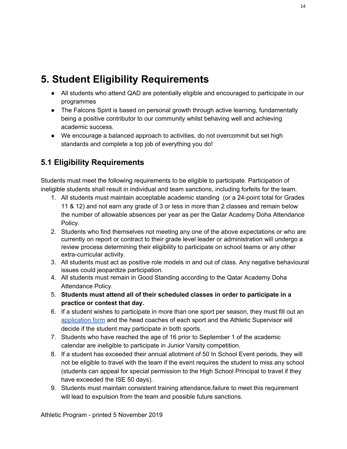## **5. Student Eligibility Requirements**

- All students who attend QAD are potentially eligible and encouraged to participate in our programmes
- The Falcons Spirit is based on personal growth through active learning, fundamentally being a positive contributor to our community whilst behaving well and achieving academic success.
- We encourage a balanced approach to activities, do not overcommit but set high standards and complete a top job of everything you do!

### **5.1 Eligibility Requirements**

Students must meet the following requirements to be eligible to participate. Participation of ineligible students shall result in individual and team sanctions, including forfeits for the team.

- 1. All students must maintain acceptable academic standing (or a 24-point total for Grades 11 & 12) and not earn any grade of 3 or less in more than 2 classes and remain below the number of allowable absences per year as per the Qatar Academy Doha Attendance Policy.
- 2. Students who find themselves not meeting any one of the above expectations or who are currently on report or contract to their grade level leader or administration will undergo a review process determining their eligibility to participate on school teams or any other extra-curricular activity.
- 3. All students must act as positive role models in and out of class. Any negative behavioural issues could jeopardize participation.
- 4. All students must remain in Good Standing according to the Qatar Academy Doha Attendance Policy.
- 5. **Students must attend all of their scheduled classes in order to participate in a practice or contest that day.**
- 6. If a student wishes to participate in more than one sport per season, they must fill out an [application](https://docs.google.com/forms/d/e/1FAIpQLSchofxJJk36yiga_fP7ifOBy0unPPrmPoxR97y2VhYnVhu4ng/viewform) form and the head coaches of each sport and the Athletic Supervisor will decide if the student may participate in both sports.
- 7. Students who have reached the age of 16 prior to September 1 of the academic calendar are ineligible to participate in Junior Varsity competition.
- 8. If a student has exceeded their annual allotment of 50 In School Event periods, they will not be eligible to travel with the team if the event requires the student to miss any school (students can appeal for special permission to the High School Principal to travel if they have exceeded the ISE 50 days).
- 9. Students must maintain consistent training attendance,failure to meet this requirement will lead to expulsion from the team and possible future sanctions.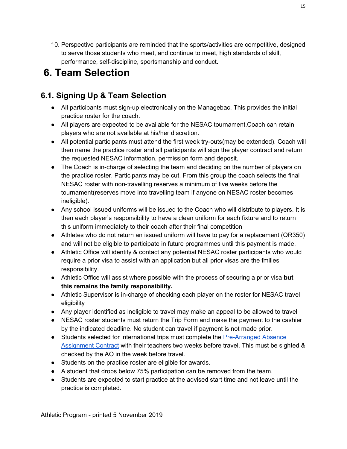10. Perspective participants are reminded that the sports/activities are competitive, designed to serve those students who meet, and continue to meet, high standards of skill, performance, self-discipline, sportsmanship and conduct.

## **6. Team Selection**

### **6.1. Signing Up & Team Selection**

- All participants must sign-up electronically on the Managebac. This provides the initial practice roster for the coach.
- All players are expected to be available for the NESAC tournament.Coach can retain players who are not available at his/her discretion.
- All potential participants must attend the first week try-outs(may be extended). Coach will then name the practice roster and all participants will sign the player contract and return the requested NESAC information, permission form and deposit.
- The Coach is in-charge of selecting the team and deciding on the number of players on the practice roster. Participants may be cut. From this group the coach selects the final NESAC roster with non-travelling reserves a minimum of five weeks before the tournament(reserves move into travelling team if anyone on NESAC roster becomes ineligible).
- Any school issued uniforms will be issued to the Coach who will distribute to players. It is then each player's responsibility to have a clean uniform for each fixture and to return this uniform immediately to their coach after their final competition
- Athletes who do not return an issued uniform will have to pay for a replacement (QR350) and will not be eligible to participate in future programmes until this payment is made.
- Athletic Office will identify & contact any potential NESAC roster participants who would require a prior visa to assist with an application but all prior visas are the fmilies responsibility.
- Athletic Office will assist where possible with the process of securing a prior visa **but this remains the family responsibility.**
- Athletic Supervisor is in-charge of checking each player on the roster for NESAC travel eligibility
- Any player identified as ineligible to travel may make an appeal to be allowed to travel
- NESAC roster students must return the Trip Form and make the payment to the cashier by the indicated deadline. No student can travel if payment is not made prior.
- Students selected for international trips must complete the [Pre-Arranged](https://docs.google.com/document/d/1oxYsddOZItbhDRRdZPymAKl26fpDSLf57B91p6srEn8/edit?usp=sharing) Absence [Assignment](https://docs.google.com/document/d/1oxYsddOZItbhDRRdZPymAKl26fpDSLf57B91p6srEn8/edit?usp=sharing) Contract with their teachers two weeks before travel. This must be sighted & checked by the AO in the week before travel.
- Students on the practice roster are eligible for awards.
- A student that drops below 75% participation can be removed from the team.
- Students are expected to start practice at the advised start time and not leave until the practice is completed.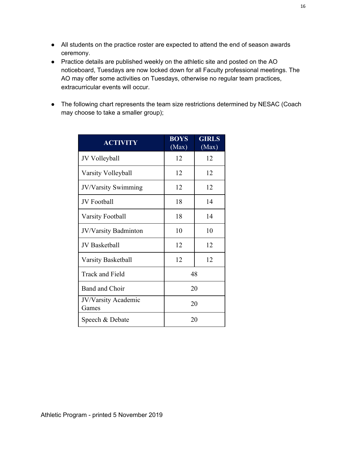- All students on the practice roster are expected to attend the end of season awards ceremony.
- Practice details are published weekly on the athletic site and posted on the AO noticeboard, Tuesdays are now locked down for all Faculty professional meetings. The AO may offer some activities on Tuesdays, otherwise no regular team practices, extracurricular events will occur.
- The following chart represents the team size restrictions determined by NESAC (Coach may choose to take a smaller group);

| <b>ACTIVITY</b>                     | <b>BOYS</b><br>(Max) | <b>GIRLS</b><br>(Max) |  |
|-------------------------------------|----------------------|-----------------------|--|
| JV Volleyball                       | 12                   | 12                    |  |
| Varsity Volleyball                  | 12                   | 12                    |  |
| JV/Varsity Swimming                 | 12                   | 12                    |  |
| JV Football                         | 18                   | 14                    |  |
| <b>Varsity Football</b>             | 18                   | 14                    |  |
| JV/Varsity Badminton                | 10                   | 10                    |  |
| <b>JV</b> Basketball                | 12                   | 12                    |  |
| <b>Varsity Basketball</b>           | 12                   | 12                    |  |
| <b>Track and Field</b>              | 48                   |                       |  |
| Band and Choir                      | 20                   |                       |  |
| <b>JV/Varsity Academic</b><br>Games | 20                   |                       |  |
| Speech & Debate                     | 20                   |                       |  |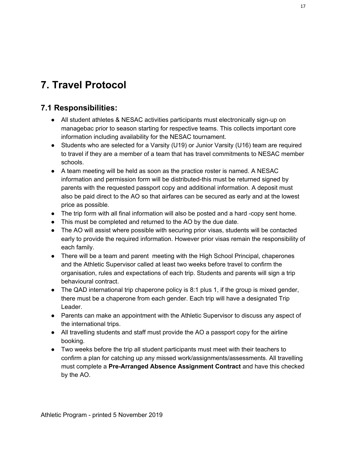## **7. Travel Protocol**

#### **7.1 Responsibilities:**

- All student athletes & NESAC activities participants must electronically sign-up on managebac prior to season starting for respective teams. This collects important core information including availability for the NESAC tournament.
- Students who are selected for a Varsity (U19) or Junior Varsity (U16) team are required to travel if they are a member of a team that has travel commitments to NESAC member schools.
- A team meeting will be held as soon as the practice roster is named. A NESAC information and permission form will be distributed-this must be returned signed by parents with the requested passport copy and additional information. A deposit must also be paid direct to the AO so that airfares can be secured as early and at the lowest price as possible.
- The trip form with all final information will also be posted and a hard -copy sent home.
- This must be completed and returned to the AO by the due date.
- The AO will assist where possible with securing prior visas, students will be contacted early to provide the required information. However prior visas remain the responsibility of each family.
- There will be a team and parent meeting with the High School Principal, chaperones and the Athletic Supervisor called at least two weeks before travel to confirm the organisation, rules and expectations of each trip. Students and parents will sign a trip behavioural contract.
- $\bullet$  The QAD international trip chaperone policy is 8:1 plus 1, if the group is mixed gender, there must be a chaperone from each gender. Each trip will have a designated Trip Leader.
- Parents can make an appointment with the Athletic Supervisor to discuss any aspect of the international trips.
- All travelling students and staff must provide the AO a passport copy for the airline booking.
- Two weeks before the trip all student participants must meet with their teachers to confirm a plan for catching up any missed work/assignments/assessments. All travelling must complete a **Pre-Arranged Absence Assignment Contract** and have this checked by the AO.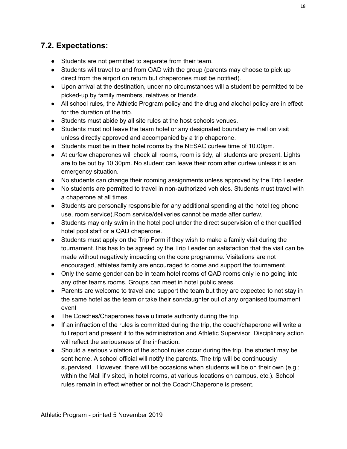#### **7.2. Expectations:**

- Students are not permitted to separate from their team.
- Students will travel to and from QAD with the group (parents may choose to pick up direct from the airport on return but chaperones must be notified).
- Upon arrival at the destination, under no circumstances will a student be permitted to be picked-up by family members, relatives or friends.
- All school rules, the Athletic Program policy and the drug and alcohol policy are in effect for the duration of the trip.
- Students must abide by all site rules at the host schools venues.
- Students must not leave the team hotel or any designated boundary ie mall on visit unless directly approved and accompanied by a trip chaperone.
- Students must be in their hotel rooms by the NESAC curfew time of 10.00pm.
- At curfew chaperones will check all rooms, room is tidy, all students are present. Lights are to be out by 10.30pm. No student can leave their room after curfew unless it is an emergency situation.
- No students can change their rooming assignments unless approved by the Trip Leader.
- No students are permitted to travel in non-authorized vehicles. Students must travel with a chaperone at all times.
- Students are personally responsible for any additional spending at the hotel (eg phone use, room service).Room service/deliveries cannot be made after curfew.
- Students may only swim in the hotel pool under the direct supervision of either qualified hotel pool staff or a QAD chaperone.
- Students must apply on the Trip Form if they wish to make a family visit during the tournament.This has to be agreed by the Trip Leader on satisfaction that the visit can be made without negatively impacting on the core programme. Visitations are not encouraged, athletes family are encouraged to come and support the tournament.
- Only the same gender can be in team hotel rooms of QAD rooms only ie no going into any other teams rooms. Groups can meet in hotel public areas.
- Parents are welcome to travel and support the team but they are expected to not stay in the same hotel as the team or take their son/daughter out of any organised tournament event
- The Coaches/Chaperones have ultimate authority during the trip.
- If an infraction of the rules is committed during the trip, the coach/chaperone will write a full report and present it to the administration and Athletic Supervisor. Disciplinary action will reflect the seriousness of the infraction.
- Should a serious violation of the school rules occur during the trip, the student may be sent home. A school official will notify the parents. The trip will be continuously supervised. However, there will be occasions when students will be on their own (e.g.; within the Mall if visited, in hotel rooms, at various locations on campus, etc.). School rules remain in effect whether or not the Coach/Chaperone is present.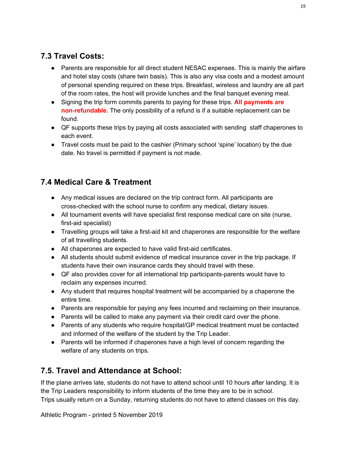### **7.3 Travel Costs:**

- Parents are responsible for all direct student NESAC expenses. This is mainly the airfare and hotel stay costs (share twin basis). This is also any visa costs and a modest amount of personal spending required on these trips. Breakfast, wireless and laundry are all part of the room rates, the host will provide lunches and the final banquet evening meal.
- Signing the trip form commits parents to paying for these trips. **All payments are non-refundable.** The only possibility of a refund is if a suitable replacement can be found.
- QF supports these trips by paying all costs associated with sending staff chaperones to each event.
- Travel costs must be paid to the cashier (Primary school 'spine' location) by the due date. No travel is permitted if payment is not made.

### **7.4 Medical Care & Treatment**

- Any medical issues are declared on the trip contract form. All participants are cross-checked with the school nurse to confirm any medical, dietary issues.
- All tournament events will have specialist first response medical care on site (nurse, first-aid specialist)
- Travelling groups will take a first-aid kit and chaperones are responsible for the welfare of all travelling students.
- All chaperones are expected to have valid first-aid certificates.
- All students should submit evidence of medical insurance cover in the trip package. If students have their own insurance cards they should travel with these.
- QF also provides cover for all international trip participants-parents would have to reclaim any expenses incurred.
- Any student that requires hospital treatment will be accompanied by a chaperone the entire time.
- Parents are responsible for paying any fees incurred and reclaiming on their insurance.
- Parents will be called to make any payment via their credit card over the phone.
- Parents of any students who require hospital/GP medical treatment must be contacted and informed of the welfare of the student by the Trip Leader.
- Parents will be informed if chaperones have a high level of concern regarding the welfare of any students on trips.

### **7.5. Travel and Attendance at School:**

If the plane arrives late, students do not have to attend school until 10 hours after landing. It is the Trip Leaders responsibility to inform students of the time they are to be in school. Trips usually return on a Sunday, returning students do not have to attend classes on this day.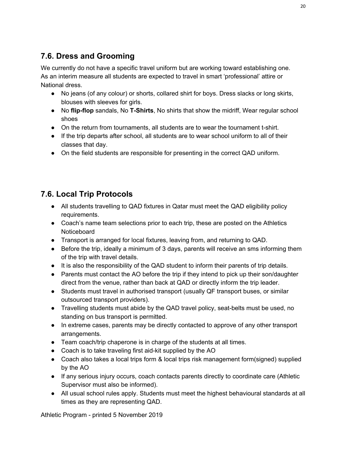### **7.6. Dress and Grooming**

We currently do not have a specific travel uniform but are working toward establishing one. As an interim measure all students are expected to travel in smart 'professional' attire or National dress.

- No jeans (of any colour) or shorts, collared shirt for boys. Dress slacks or long skirts, blouses with sleeves for girls.
- No **flip-flop** sandals, No **T-Shirts**, No shirts that show the midriff, Wear regular school shoes
- On the return from tournaments, all students are to wear the tournament t-shirt.
- If the trip departs after school, all students are to wear school uniform to all of their classes that day.
- On the field students are responsible for presenting in the correct QAD uniform.

### **7.6. Local Trip Protocols**

- All students travelling to QAD fixtures in Qatar must meet the QAD eligibility policy requirements.
- Coach's name team selections prior to each trip, these are posted on the Athletics **Noticeboard**
- Transport is arranged for local fixtures, leaving from, and returning to QAD.
- Before the trip, ideally a minimum of 3 days, parents will receive an sms informing them of the trip with travel details.
- It is also the responsibility of the QAD student to inform their parents of trip details.
- Parents must contact the AO before the trip if they intend to pick up their son/daughter direct from the venue, rather than back at QAD or directly inform the trip leader.
- Students must travel in authorised transport (usually QF transport buses, or similar outsourced transport providers).
- Travelling students must abide by the QAD travel policy, seat-belts must be used, no standing on bus transport is permitted.
- In extreme cases, parents may be directly contacted to approve of any other transport arrangements.
- Team coach/trip chaperone is in charge of the students at all times.
- Coach is to take traveling first aid-kit supplied by the AO
- Coach also takes a local trips form & local trips risk management form(signed) supplied by the AO
- If any serious injury occurs, coach contacts parents directly to coordinate care (Athletic Supervisor must also be informed).
- All usual school rules apply. Students must meet the highest behavioural standards at all times as they are representing QAD.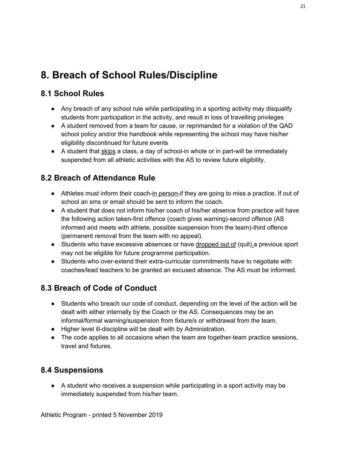## **8. Breach of School Rules/Discipline**

#### **8.1 School Rules**

- Any breach of any school rule while participating in a sporting activity may disqualify students from participation in the activity, and result in loss of travelling privileges
- A student removed from a team for cause, or reprimanded for a violation of the QAD school policy and/or this handbook while representing the school may have his/her eligibility discontinued for future events
- A student that skips a class, a day of school-in whole or in part-will be immediately suspended from all athletic activities with the AS to review future eligibility.

### **8.2 Breach of Attendance Rule**

- Athletes must inform their coach-in person-if they are going to miss a practice. If out of school an sms or email should be sent to inform the coach.
- A student that does not inform his/her coach of his/her absence from practice will have the following action taken-first offence (coach gives warning)-second offence (AS informed and meets with athlete, possible suspension from the team)-third offence (permanent removal from the team with no appeal).
- Students who have excessive absences or have dropped out of (quit) a previous sport may not be eligible for future programme participation.
- Students who over-extend their extra-curricular commitments have to negotiate with coaches/lead teachers to be granted an excused absence. The AS must be informed.

### **8.3 Breach of Code of Conduct**

- Students who breach our code of conduct, depending on the level of the action will be dealt with either internally by the Coach or the AS. Consequences may be an informal/formal warning/suspension from fixture/s or withdrawal from the team.
- Higher level ill-discipline will be dealt with by Administration.
- The code applies to all occasions when the team are together-team practice sessions, travel and fixtures.

#### **8.4 Suspensions**

● A student who receives a suspension while participating in a sport activity may be immediately suspended from his/her team.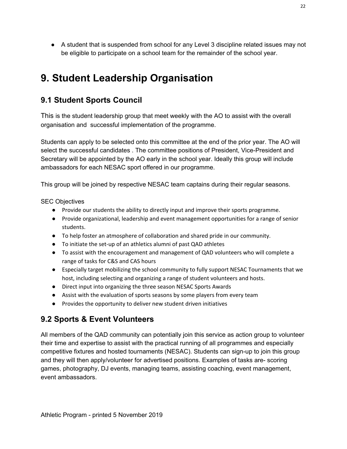● A student that is suspended from school for any Level 3 discipline related issues may not be eligible to participate on a school team for the remainder of the school year.

## **9. Student Leadership Organisation**

#### **9.1 Student Sports Council**

This is the student leadership group that meet weekly with the AO to assist with the overall organisation and successful implementation of the programme.

Students can apply to be selected onto this committee at the end of the prior year. The AO will select the successful candidates . The committee positions of President, Vice-President and Secretary will be appointed by the AO early in the school year. Ideally this group will include ambassadors for each NESAC sport offered in our programme.

This group will be joined by respective NESAC team captains during their regular seasons.

#### SEC Objectives

- Provide our students the ability to directly input and improve their sports programme.
- Provide organizational, leadership and event management opportunities for a range of senior students.
- To help foster an atmosphere of collaboration and shared pride in our community.
- To initiate the set-up of an athletics alumni of past QAD athletes
- To assist with the encouragement and management of QAD volunteers who will complete a range of tasks for C&S and CAS hours
- Especially target mobilizing the school community to fully support NESAC Tournaments that we host, including selecting and organizing a range of student volunteers and hosts.
- Direct input into organizing the three season NESAC Sports Awards
- Assist with the evaluation of sports seasons by some players from every team
- Provides the opportunity to deliver new student driven initiatives

### **9.2 Sports & Event Volunteers**

All members of the QAD community can potentially join this service as action group to volunteer their time and expertise to assist with the practical running of all programmes and especially competitive fixtures and hosted tournaments (NESAC). Students can sign-up to join this group and they will then apply/volunteer for advertised positions. Examples of tasks are- scoring games, photography, DJ events, managing teams, assisting coaching, event management, event ambassadors.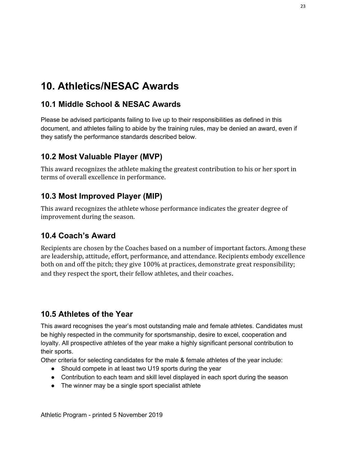## **10. Athletics/NESAC Awards**

#### **10.1 Middle School & NESAC Awards**

Please be advised participants failing to live up to their responsibilities as defined in this document, and athletes failing to abide by the training rules, may be denied an award, even if they satisfy the performance standards described below.

### **10.2 Most Valuable Player (MVP)**

This award recognizes the athlete making the greatest contribution to his or her sport in terms of overall excellence in performance.

### **10.3 Most Improved Player (MIP)**

This award recognizes the athlete whose performance indicates the greater degree of improvement during the season.

#### **10.4 Coach's Award**

Recipients are chosen by the Coaches based on a number of important factors. Among these are leadership, attitude, effort, performance, and attendance. Recipients embody excellence both on and off the pitch; they give 100% at practices, demonstrate great responsibility; and they respect the sport, their fellow athletes, and their coaches.

#### **10.5 Athletes of the Year**

This award recognises the year's most outstanding male and female athletes. Candidates must be highly respected in the community for sportsmanship, desire to excel, cooperation and loyalty. All prospective athletes of the year make a highly significant personal contribution to their sports.

Other criteria for selecting candidates for the male & female athletes of the year include:

- Should compete in at least two U19 sports during the year
- Contribution to each team and skill level displayed in each sport during the season
- The winner may be a single sport specialist athlete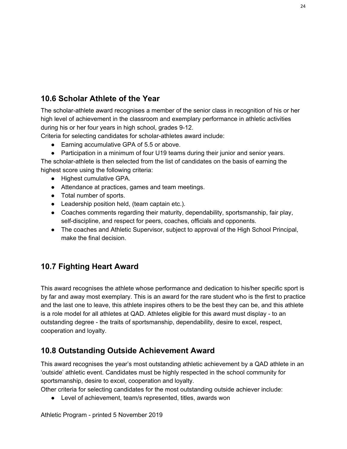### **10.6 Scholar Athlete of the Year**

The scholar-athlete award recognises a member of the senior class in recognition of his or her high level of achievement in the classroom and exemplary performance in athletic activities during his or her four years in high school, grades 9-12.

Criteria for selecting candidates for scholar-athletes award include:

- Earning accumulative GPA of 5.5 or above.
- Participation in a minimum of four U19 teams during their junior and senior years.

The scholar-athlete is then selected from the list of candidates on the basis of earning the highest score using the following criteria:

- Highest cumulative GPA.
- Attendance at practices, games and team meetings.
- Total number of sports.
- Leadership position held, (team captain etc.).
- Coaches comments regarding their maturity, dependability, sportsmanship, fair play, self-discipline, and respect for peers, coaches, officials and opponents.
- The coaches and Athletic Supervisor, subject to approval of the High School Principal, make the final decision.

#### **10.7 Fighting Heart Award**

This award recognises the athlete whose performance and dedication to his/her specific sport is by far and away most exemplary. This is an award for the rare student who is the first to practice and the last one to leave, this athlete inspires others to be the best they can be, and this athlete is a role model for all athletes at QAD. Athletes eligible for this award must display - to an outstanding degree - the traits of sportsmanship, dependability, desire to excel, respect, cooperation and loyalty.

#### **10.8 Outstanding Outside Achievement Award**

This award recognises the year's most outstanding athletic achievement by a QAD athlete in an 'outside' athletic event. Candidates must be highly respected in the school community for sportsmanship, desire to excel, cooperation and loyalty.

Other criteria for selecting candidates for the most outstanding outside achiever include:

• Level of achievement, team/s represented, titles, awards won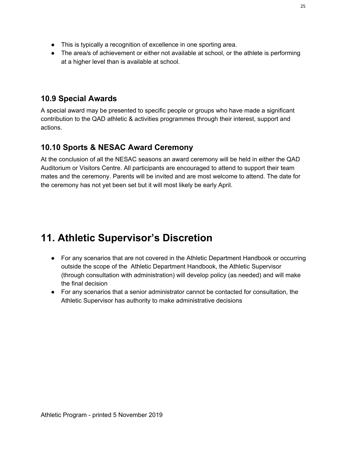- This is typically a recognition of excellence in one sporting area.
- The area/s of achievement or either not available at school, or the athlete is performing at a higher level than is available at school.

#### **10.9 Special Awards**

A special award may be presented to specific people or groups who have made a significant contribution to the QAD athletic & activities programmes through their interest, support and actions.

### **10.10 Sports & NESAC Award Ceremony**

At the conclusion of all the NESAC seasons an award ceremony will be held in either the QAD Auditorium or Visitors Centre. All participants are encouraged to attend to support their team mates and the ceremony. Parents will be invited and are most welcome to attend. The date for the ceremony has not yet been set but it will most likely be early April.

## **11. Athletic Supervisor's Discretion**

- For any scenarios that are not covered in the Athletic Department Handbook or occurring outside the scope of the Athletic Department Handbook, the Athletic Supervisor (through consultation with administration) will develop policy (as needed) and will make the final decision
- For any scenarios that a senior administrator cannot be contacted for consultation, the Athletic Supervisor has authority to make administrative decisions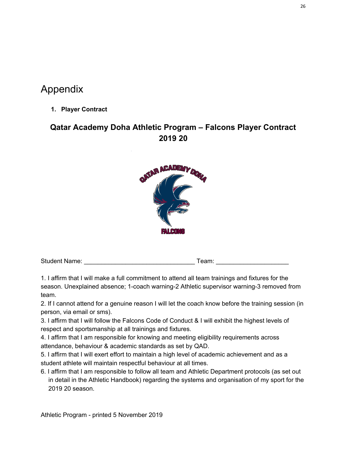## Appendix

**1. Player Contract**

### **Qatar Academy Doha Athletic Program – Falcons Player Contract 2019 20**



| <b>Student Name:</b> | eam: |
|----------------------|------|
|----------------------|------|

1. I affirm that I will make a full commitment to attend all team trainings and fixtures for the season. Unexplained absence; 1-coach warning-2 Athletic supervisor warning-3 removed from team.

2. If I cannot attend for a genuine reason I will let the coach know before the training session (in person, via email or sms).

3. I affirm that I will follow the Falcons Code of Conduct & I will exhibit the highest levels of respect and sportsmanship at all trainings and fixtures.

4. I affirm that I am responsible for knowing and meeting eligibility requirements across attendance, behaviour & academic standards as set by QAD.

5. I affirm that I will exert effort to maintain a high level of academic achievement and as a student athlete will maintain respectful behaviour at all times.

6. I affirm that I am responsible to follow all team and Athletic Department protocols (as set out in detail in the Athletic Handbook) regarding the systems and organisation of my sport for the 2019 20 season.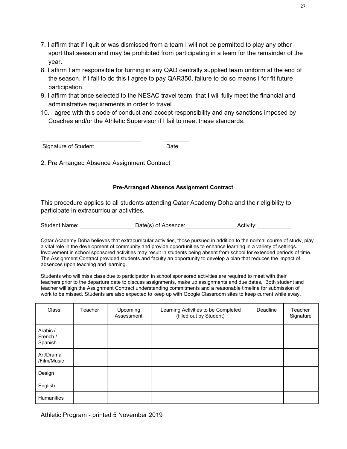- 7. I affirm that if I quit or was dismissed from a team I will not be permitted to play any other sport that season and may be prohibited from participating in a team for the remainder of the year.
- 8. I affirm I am responsible for turning in any QAD centrally supplied team uniform at the end of the season. If I fail to do this I agree to pay QAR350, failure to do so means I for fit future participation.
- 9. I affirm that once selected to the NESAC travel team, that I will fully meet the financial and administrative requirements in order to travel.
- 10. I agree with this code of conduct and accept responsibility and any sanctions imposed by Coaches and/or the Athletic Supervisor if I fail to meet these standards.

Signature of Student Date

2. Pre Arranged Absence Assignment Contract

\_\_\_\_\_\_\_\_\_\_\_\_\_\_\_\_\_\_\_\_\_\_\_\_\_\_\_\_\_ \_\_\_\_\_\_\_

#### **Pre-Arranged Absence Assignment Contract**

This procedure applies to all students attending Qatar Academy Doha and their eligibility to participate in extracurricular activities.

Student Name:  $Date(s)$  of Absence:  $\qquad \qquad$  Activity:

Qatar Academy Doha believes that extracurricular activities, those pursued in addition to the normal course of study, play a vital role in the development of community and provide opportunities to enhance learning in a variety of settings. Involvement in school sponsored activities may result in students being absent from school for extended periods of time. The Assignment Contract provided students and faculty an opportunity to develop a plan that reduces the impact of absences upon teaching and learning.

Students who will miss class due to participation in school sponsored activities are required to meet with their teachers prior to the departure date to discuss assignments, make up assignments and due dates, Both student and teacher will sign the Assignment Contract understanding commitments and a reasonable timeline for submission of work to be missed. Students are also expected to keep up with Google Classroom sites to keep current while away.

| Class                           | Teacher | Upcoming<br>Assessment | Learning Activities to be Completed<br>(filled out by Student) | Deadline | Teacher<br>Signature |
|---------------------------------|---------|------------------------|----------------------------------------------------------------|----------|----------------------|
| Arabic /<br>French /<br>Spanish |         |                        |                                                                |          |                      |
| Art/Drama<br>/Film/Music        |         |                        |                                                                |          |                      |
| Design                          |         |                        |                                                                |          |                      |
| English                         |         |                        |                                                                |          |                      |
| <b>Humanities</b>               |         |                        |                                                                |          |                      |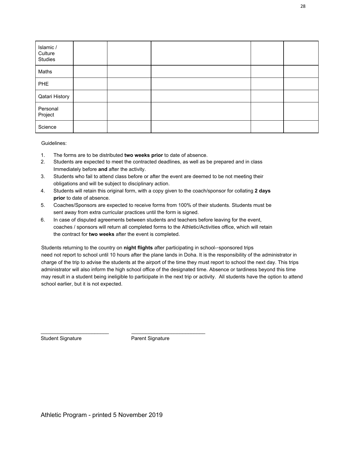| Islamic /<br>Culture<br>Studies |  |  |  |
|---------------------------------|--|--|--|
| Maths                           |  |  |  |
| <b>PHE</b>                      |  |  |  |
| <b>Qatari History</b>           |  |  |  |
| Personal<br>Project             |  |  |  |
| Science                         |  |  |  |

Guidelines:

- 1. The forms are to be distributed **two weeks prior** to date of absence.
- 2. Students are expected to meet the contracted deadlines, as well as be prepared and in class Immediately before **and** after the activity.
- 3. Students who fail to attend class before or after the event are deemed to be not meeting their obligations and will be subject to disciplinary action.
- 4. Students will retain this original form, with a copy given to the coach/sponsor for collating **2 days prior** to date of absence.
- 5. Coaches/Sponsors are expected to receive forms from 100% of their students. Students must be sent away from extra curricular practices until the form is signed.
- 6. In case of disputed agreements between students and teachers before leaving for the event, coaches / sponsors will return all completed forms to the Athletic/Activities office, which will retain the contract for **two weeks** after the event is completed.

Students returning to the country on **night flights** after participating in school--sponsored trips need not report to school until 10 hours after the plane lands in Doha. It is the responsibility of the administrator in charge of the trip to advise the students at the airport of the time they must report to school the next day. This trips administrator will also inform the high school office of the designated time. Absence or tardiness beyond this time may result in a student being ineligible to participate in the next trip or activity. All students have the option to attend school earlier, but it is not expected.

Student Signature Parent Signature

\_\_\_\_\_\_\_\_\_\_\_\_\_\_\_\_\_\_\_\_\_\_\_\_ \_\_\_\_\_\_\_\_\_\_\_\_\_\_\_\_\_\_\_\_\_\_\_\_\_\_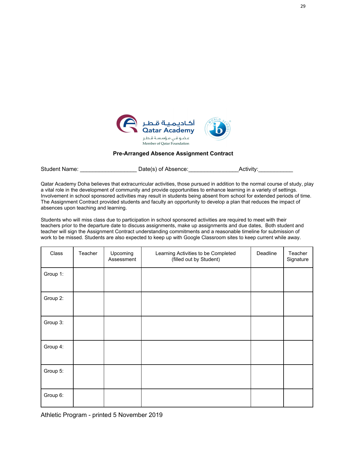

#### **Pre-Arranged Absence Assignment Contract**

Student Name: \_\_\_\_\_\_\_\_\_\_\_\_\_\_\_\_\_\_\_\_\_\_\_\_\_Date(s) of Absence: \_\_\_\_\_\_\_\_\_\_\_\_\_\_\_\_\_\_\_\_\_\_Activity:\_

Qatar Academy Doha believes that extracurricular activities, those pursued in addition to the normal course of study, play a vital role in the development of community and provide opportunities to enhance learning in a variety of settings. Involvement in school sponsored activities may result in students being absent from school for extended periods of time. The Assignment Contract provided students and faculty an opportunity to develop a plan that reduces the impact of absences upon teaching and learning.

Students who will miss class due to participation in school sponsored activities are required to meet with their teachers prior to the departure date to discuss assignments, make up assignments and due dates, Both student and teacher will sign the Assignment Contract understanding commitments and a reasonable timeline for submission of work to be missed. Students are also expected to keep up with Google Classroom sites to keep current while away.

| Class    | Teacher | Upcoming<br>Assessment | Learning Activities to be Completed<br>(filled out by Student) | Deadline | Teacher<br>Signature |
|----------|---------|------------------------|----------------------------------------------------------------|----------|----------------------|
| Group 1: |         |                        |                                                                |          |                      |
| Group 2: |         |                        |                                                                |          |                      |
| Group 3: |         |                        |                                                                |          |                      |
| Group 4: |         |                        |                                                                |          |                      |
| Group 5: |         |                        |                                                                |          |                      |
| Group 6: |         |                        |                                                                |          |                      |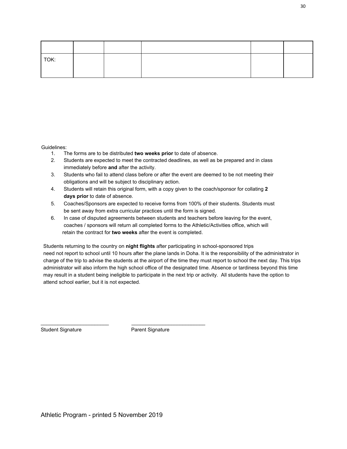| TOK: |  |  |  |
|------|--|--|--|
|      |  |  |  |

Guidelines:

- 1. The forms are to be distributed **two weeks prior** to date of absence.
- 2. Students are expected to meet the contracted deadlines, as well as be prepared and in class immediately before **and** after the activity.
- 3. Students who fail to attend class before or after the event are deemed to be not meeting their obligations and will be subject to disciplinary action.
- 4. Students will retain this original form, with a copy given to the coach/sponsor for collating **2 days prior** to date of absence.
- 5. Coaches/Sponsors are expected to receive forms from 100% of their students. Students must be sent away from extra curricular practices until the form is signed.
- 6. In case of disputed agreements between students and teachers before leaving for the event, coaches / sponsors will return all completed forms to the Athletic/Activities office, which will retain the contract for **two weeks** after the event is completed.

Students returning to the country on **night flights** after participating in school-sponsored trips need not report to school until 10 hours after the plane lands in Doha. It is the responsibility of the administrator in charge of the trip to advise the students at the airport of the time they must report to school the next day. This trips administrator will also inform the high school office of the designated time. Absence or tardiness beyond this time may result in a student being ineligible to participate in the next trip or activity. All students have the option to attend school earlier, but it is not expected.

Student Signature **Parent Signature** Parent Signature

\_\_\_\_\_\_\_\_\_\_\_\_\_\_\_\_\_\_\_\_\_\_\_\_ \_\_\_\_\_\_\_\_\_\_\_\_\_\_\_\_\_\_\_\_\_\_\_\_\_\_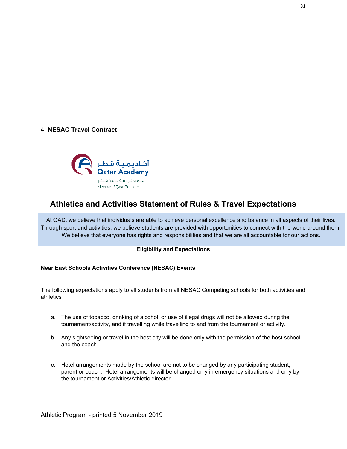#### 4. **NESAC Travel Contract**



#### **Athletics and Activities Statement of Rules & Travel Expectations**

At QAD, we believe that individuals are able to achieve personal excellence and balance in all aspects of their lives. Through sport and activities, we believe students are provided with opportunities to connect with the world around them. We believe that everyone has rights and responsibilities and that we are all accountable for our actions.

#### **Eligibility and Expectations**

#### **Near East Schools Activities Conference (NESAC) Events**

The following expectations apply to all students from all NESAC Competing schools for both activities and athletics

- a. The use of tobacco, drinking of alcohol, or use of illegal drugs will not be allowed during the tournament/activity, and if travelling while travelling to and from the tournament or activity.
- b. Any sightseeing or travel in the host city will be done only with the permission of the host school and the coach.
- c. Hotel arrangements made by the school are not to be changed by any participating student, parent or coach. Hotel arrangements will be changed only in emergency situations and only by the tournament or Activities/Athletic director.

31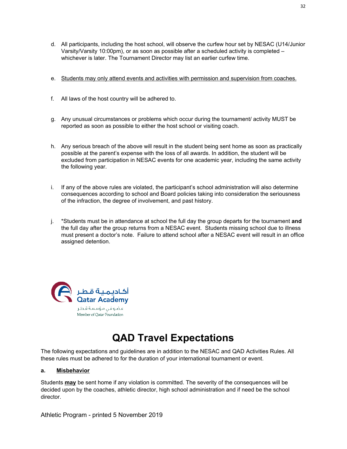- d. All participants, including the host school, will observe the curfew hour set by NESAC (U14/Junior Varsity/Varsity 10:00pm), or as soon as possible after a scheduled activity is completed – whichever is later. The Tournament Director may list an earlier curfew time.
- e. Students may only attend events and activities with permission and supervision from coaches.
- f. All laws of the host country will be adhered to.
- g. Any unusual circumstances or problems which occur during the tournament/ activity MUST be reported as soon as possible to either the host school or visiting coach.
- h. Any serious breach of the above will result in the student being sent home as soon as practically possible at the parent's expense with the loss of all awards. In addition, the student will be excluded from participation in NESAC events for one academic year, including the same activity the following year.
- i. If any of the above rules are violated, the participant's school administration will also determine consequences according to school and Board policies taking into consideration the seriousness of the infraction, the degree of involvement, and past history.
- j. \*Students must be in attendance at school the full day the group departs for the tournament **and** the full day after the group returns from a NESAC event. Students missing school due to illness must present a doctor's note. Failure to attend school after a NESAC event will result in an office assigned detention.



## **QAD Travel Expectations**

The following expectations and guidelines are in addition to the NESAC and QAD Activities Rules. All these rules must be adhered to for the duration of your international tournament or event.

#### **a. Misbehavior**

Students **may** be sent home if any violation is committed. The severity of the consequences will be decided upon by the coaches, athletic director, high school administration and if need be the school director.